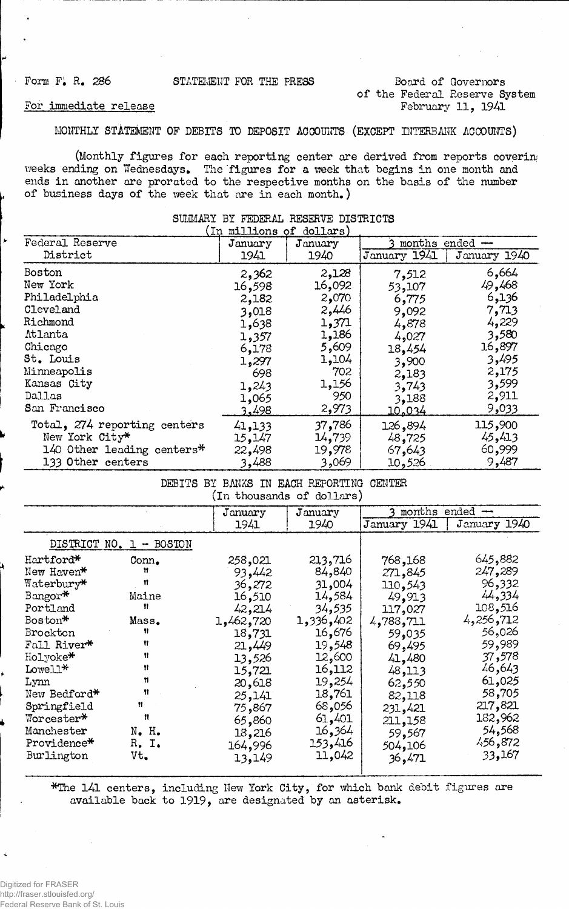# Form F<sub>\*</sub> R<sub>\*</sub> 286 STATEMENT FOR THE PRESS Board of Governors **of the Federal Reserve System February 11, 1941**

## **For immediate release**

**MONTHLY STATEMENT OF DEBITS TO DEPOSIT ACCOUNTS (EXCEPT INTERBANK ACCOUNTS)**

**(Monthly figures for each reporting center are derived from reports coverin** weeks ending on Wednesdays. The figures for a week that begins in one month and **ends in another are prorated to the respective months on the basis of the number of business days of the week that are in each month.)**

| (In millions of dollars)     |         |         |                |              |  |  |  |
|------------------------------|---------|---------|----------------|--------------|--|--|--|
| Federal Reserve              | January | January | months ended - |              |  |  |  |
| District                     | 1941    | 1940    | January 1941   | January 1940 |  |  |  |
| <b>Boston</b>                | 2,362   | 2,128   | 7,512          | 6,664        |  |  |  |
| New York                     | 16,598  | 16,092  | 53,107         | 49,468       |  |  |  |
| Philadelphia                 | 2,182   | 2,070   | 6,775          | 6,136        |  |  |  |
| Cleveland                    | 3,018   | 2,446   | 9,092          | 7,713        |  |  |  |
| Richmond                     | 1,638   | 1,371   | 4,878          | 4,229        |  |  |  |
| <b>Atlanta</b>               | 1,357   | 1,186   | 4,027          | 3,580        |  |  |  |
| Chicago                      | 6,178   | 5,609   | 18,454         | 16,897       |  |  |  |
| St. Louis                    | 1,297   | 1,104   | 3,900          | 3,495        |  |  |  |
| Minneapolis                  | 698     | 702     | 2.183          | 2,175        |  |  |  |
| Kansas City                  | 1,243   | 1,156   | 3,743          | 3,599        |  |  |  |
| Dallas                       | 1,065   | 950     | 3,188          | 2,911        |  |  |  |
| San Francisco                | 3,498   | 2,973   | 10.034         | 9,033        |  |  |  |
| Total, 274 reporting centers | 41,133  | 37,786  | 126,894        | 115,900      |  |  |  |
| New York City*               | 15,147  | 14,739  | 48,725         | 45, 413      |  |  |  |
| 140 Other leading centers*   | 22,498  | 19,978  | 67,643         | 60,999       |  |  |  |
| 133 Other centers            | 3,488   | 3,069   | 10,526         | 9,487        |  |  |  |

#### **SUMMARY BY FEDERAL RESERVE DISTRICTS**

| DEBITS<br>BY BANKS IN EACH REPORTING<br><b>CENTER</b><br>(In thousands of dollars) |                                                 |           |           |                    |              |  |  |
|------------------------------------------------------------------------------------|-------------------------------------------------|-----------|-----------|--------------------|--------------|--|--|
|                                                                                    |                                                 | January   | January   | $ened -$<br>months |              |  |  |
|                                                                                    |                                                 | 1941      | 1940      | January 1941       | January 1940 |  |  |
| DISTRICT NO.                                                                       | <b>BOSTON</b><br>1.<br>$\overline{\phantom{m}}$ |           |           |                    |              |  |  |
| Hartford*                                                                          | Conn.                                           | 258,021   | 213,716   | 768,168            | 645,882      |  |  |
| New Haven*                                                                         | Ħ                                               | 93,442    | 84,840    | 271,845            | 247,289      |  |  |
| Waterbury*                                                                         | Ħ                                               | 36,272    | 31,004    | 110,543            | 96,332       |  |  |
| Bangor*                                                                            | Maine                                           | 16,510    | 14,584    | 49,913             | 44,334       |  |  |
| Portland                                                                           | 11                                              | 42,214    | 34,535    | 117,027            | 108,516      |  |  |
| Boston*                                                                            | Mass.                                           | 1,462,720 | 1,336,402 | 4,788,711          | 4,256,712    |  |  |
| Brockton                                                                           | Ħ                                               | 18,731    | 16,676    | 59,035             | 56,026       |  |  |
| Fall River*                                                                        | Ħ                                               | 21,449    | 19,548    | 69,495             | 59,989       |  |  |
| Holyoke*                                                                           | 11                                              | 13,526    | 12,600    | 41,480             | 37,578       |  |  |
| Lowell*                                                                            | 11                                              | 15,721    | 16,112    | 48,113             | 46,643       |  |  |
| Lynn                                                                               | n                                               | 20,618    | 19,254    | 62,550             | 61,025       |  |  |
| New Bedford*                                                                       | Ħ                                               | 25,141    | 18,761    | 82,118             | 58,705       |  |  |
| Springfield                                                                        | n                                               | 75,867    | 68,056    | 231,421            | 217,821      |  |  |
| Worcester*                                                                         | Ħ                                               | 65.860    | 61,401    | 211,158            | 182,962      |  |  |
| Manchester                                                                         | N. H.                                           | 18,216    | 16,364    | 59,567             | 54,568       |  |  |
| Providence*                                                                        | R. I.                                           | 164,996   | 153,416   | 504,106            | 456,872      |  |  |
| Burlington                                                                         | Vt.                                             | 13,149    | 11,042    | 36,471             | 33,167       |  |  |

**\*The 141 centers, including New York City, for which bank debit figures are available back to 1919, are designated by an asterisk.**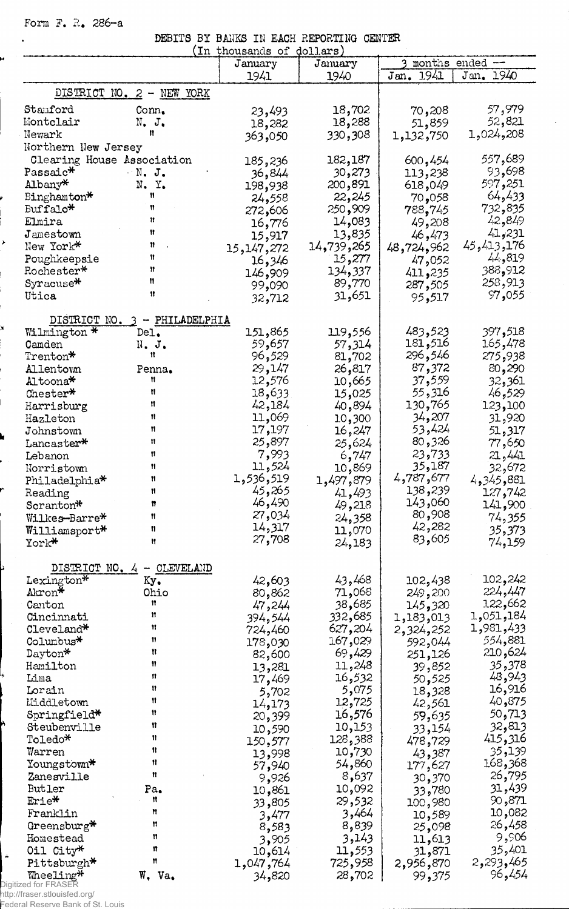Form F. R. 286-a

 $\ddot{\phantom{0}}$ 

P

J

|  |  | DEBITS BY BANKS IN EACH REPORTING CENTER                                                                                                                                                                                                                                                                                                                                                                                                                                                         |  |
|--|--|--------------------------------------------------------------------------------------------------------------------------------------------------------------------------------------------------------------------------------------------------------------------------------------------------------------------------------------------------------------------------------------------------------------------------------------------------------------------------------------------------|--|
|  |  | $(\text{In those} \land \text{A} \land \text{A} \land \text{B} \land \text{A} \land \text{B} \land \text{B} \land \text{B} \land \text{B} \land \text{B} \land \text{B} \land \text{B} \land \text{B} \land \text{B} \land \text{B} \land \text{B} \land \text{B} \land \text{B} \land \text{B} \land \text{B} \land \text{B} \land \text{B} \land \text{B} \land \text{B} \land \text{B} \land \text{B} \land \text{B} \land \text{B} \land \text{B} \land \text{B} \land \text{B} \land \text$ |  |

|                            |                           | In thousands of dollars) |                              |                     |                 |
|----------------------------|---------------------------|--------------------------|------------------------------|---------------------|-----------------|
|                            |                           | January                  | January                      |                     | months ended -- |
|                            |                           | 1941                     | 1940                         | Jan. 1941           | Jan. 1940       |
|                            | DISTRICT NO. 2 - NEW YORK |                          |                              |                     |                 |
|                            |                           |                          |                              |                     |                 |
| Stanford                   | Com <sub>•</sub>          | 23,493                   | 18,702                       | 70,208              | 57,979          |
| Montclair                  | N. J.                     | 18,282                   | 18,288                       | 51,859              | 52,821          |
| Newark                     | Ħ                         | 363,050                  | 330,308                      | 1,132,750           | 1,024,208       |
| Northern New Jersey        |                           |                          |                              |                     |                 |
| Clearing House Association |                           | 185,236                  | 182,187                      | 600,454             | 557,689         |
| Passaic*                   | $N_{\bullet}$ J.          | 36,844                   | 30,273                       | 113,238             | 93,698          |
| Albany*                    | N.Y.                      | 198,938                  | 200,891                      | 618,049             | 597,251         |
| Binghamton*                | n                         | 24,558                   | 22,245                       | 70,058              | 64,433          |
| Buffalo <sup>*</sup>       | Ħ                         | 272,606                  | 250,909                      | 788,745             | 732,835         |
| Elmira                     | Ħ                         | 16,776                   | 14,083                       | 49,208              | 42,849          |
| Jamestown                  | Ħ                         |                          | 13,835                       | 46,473              | 41,231          |
| New York*                  | n                         | 15,917                   | 14 <b>,</b> 739 <b>,</b> 265 | 48,724,962          | 45,413,176      |
| Poughkeepsie               | 11                        | 15,147,272               | 15,277                       |                     | 44,819          |
| Rochester*                 | Ħ                         | 16,346                   |                              | 47,052              | 388,912         |
| Syracuse*                  | 11                        | 909 <b>,</b> 146         | 134,337                      | 411,235             | 258,913         |
|                            | 11                        | 99,090                   | 89,770                       | 287,505             |                 |
| Utica                      |                           | 32,712                   | 31,651                       | 95,517              | 97,055          |
|                            |                           |                          |                              |                     |                 |
| DISTRICT NO. 3             | - PHILADELPHIA            |                          |                              |                     |                 |
| Wilmington *               | Del.                      | 151,865                  | 119,556                      | 483,523<br>181, 181 | 397,518         |
| Camden                     | $N$ . J.<br>Ħ             | 59,657                   | 57,314                       |                     | 165,478         |
| Trenton*                   |                           | 96,529                   | 81,702                       | 296,546             | 275,938         |
| Allentown                  | Penna.                    | 29,147                   | 26,817                       | 87,372              | 80,290          |
| Altoona*                   | Ħ                         | 12,576                   | 10,665                       | 37,559              | 32,361          |
| Chester*                   | Ħ                         | 18,633                   | 15,025                       | 55,316              | 46,529          |
| Harrisburg                 | Ħ                         | 42,184                   | 40,894                       | 130,765             | 123,100         |
| Hazleton                   | Ħ                         | 11,069                   | 10,300                       | 34,207              | 31,920          |
| Johnstown                  | n                         | 17,197                   | 16,247                       | 53,424              | 51,317          |
| Lancaster*                 | 11                        | 25,897                   | 25,624                       | 80,326              | 77,650          |
| Lebanon                    | 11                        | 7,993                    | 6,747                        | 23,733              | 21,441          |
| Norristown                 | 11                        | 11,524                   | 10,869                       | 35,187              | 32,672          |
| Philadelphia*              | 11                        | 1,536,519                | 1,497,879                    | 4,787,677           | 881, 345, 4     |
| Reading                    | n                         | 45,265                   | 41,493                       | 138,239             | 127,742         |
| Scranton*                  | π                         | 46,490                   | 49,218                       | 143,060             | 141,900         |
| Wilkes <del>-</del> Barre* | Ħ                         | 27,034                   | 24,358                       | 80,908              | 74,355          |
| Williamsport*              | n                         | 14,317                   | 11,070                       | 42,282              | 35,373          |
| York*                      | Ħ                         | 27,708                   | 24,183                       | 83,605              | 74,159          |
|                            |                           |                          |                              |                     |                 |
| DISTRICT<br>NO.4           | CLEVELAND<br>₩.           |                          |                              |                     |                 |
| Lexington $\ast$           | Ky.                       | 42,603                   | 43,468                       | 102,438             | 102,242         |
| Akron*                     | Ohio                      | 80,862                   | 71,068                       | 249,200             | 224,447         |
| Canton                     | 11                        | 47,244                   | 38,685                       | 145,320             | 122,662         |
| Cincinnati                 | Ħ                         | 394,544                  | 332,685                      | 1,183,013           | 1,051,184       |
| Cleveland*                 | 11                        | 724,460                  | 627,204                      | 2,324,252           | 1,981,433       |
| Columbus <sup>*</sup>      | 11                        | 178,030                  | 167,029                      | 592,044             | 554,881         |
| $\mathtt{Dayton*}$         | Ħ                         | 82,600                   | 69,429                       | 251,126             | 210,624         |
| Hamilton                   | Ħ                         | 13,281                   | 11,248                       | 39,852              | 35,378          |
| Lima                       | n                         | 17,469                   | 16,532                       | 50,525              | 48,943          |
| Lorain                     | n                         |                          | 5,075                        | 18,328              | 16,916          |
| Middletown                 | Ħ                         | 5,702                    | 12,725                       |                     | 40,875          |
| Springfield*               | Ħ                         | 14,173                   | 16,576                       | 42,561              | 50,713          |
| Steubenville               | Ħ                         | 20,399                   | 10,153                       | 59,635              | 32,813          |
| Toledo*                    | n                         | 10,590                   |                              | 33,154              | 415,316         |
|                            | Ħ                         | 150,577                  | 128,388                      | 478,729             |                 |
| Warren                     | Ħ                         | 13,998                   | 10,730                       | 43,387              | 35,139          |
| Youngstown*                | n                         | 57,940                   | 54,860                       | 177,627             | 168,368         |
| Zanesville                 |                           | 9,926                    | 8,637                        | 30,370              | 26,795          |
| Butler                     | Pa.                       | 10,861                   | 10,092                       | 33,780              | 31,439          |
| Erie*                      | Ħ                         | 33,805                   | 29,532                       | 100,980             | 90,871          |
| Franklin                   | Ħ                         | 3,477                    | 3,464                        | 10,589              | 10,082          |
| Greensburg $*$             | 11                        | 8,583                    | 8,839                        | 25,098              | 26,458          |
| Homestead                  | 11                        | 3,905                    | 3,143                        | 11,613              | 9,906           |
| Oil City*                  | 11                        | 10,614                   | 11,553                       | 31,871              | 35,401          |
| Pittsburgh*                | 11                        | 1,047,764                | 725,958                      | 2,956,870           | 465,293ء2       |
| Wheeling*                  | W. Va.                    | 34,820                   | 28,702                       | 99,375              | 96,454          |

**ALL CELLIC**<br>Digitized for FRASER<br>http://fraser.stlouisfed.org/<br>Federal Reserve Bank of St. Louis

 $\hat{\mathbf{r}}$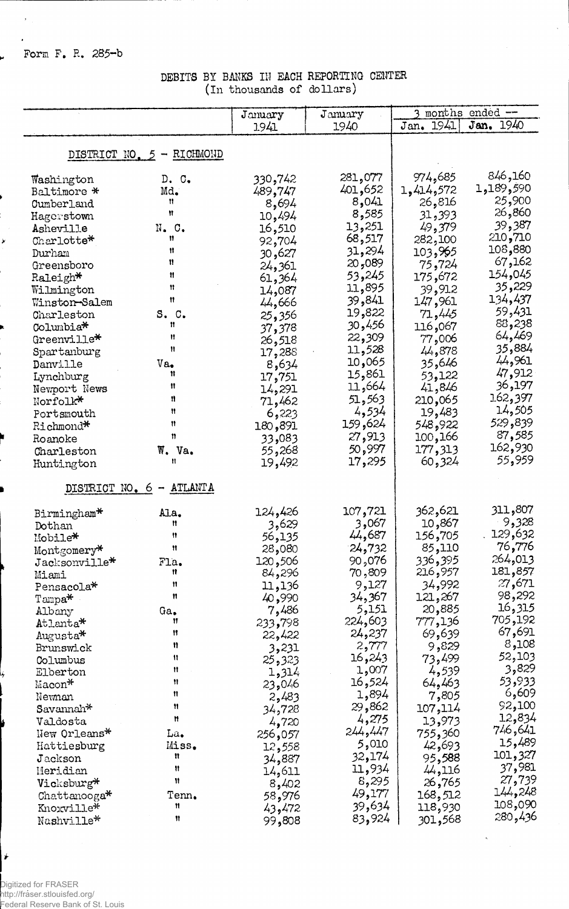Form F. R. 285-b

 $\bar{\lambda}$  $\mathbf{r}$ 

u.

¥

DEBITS BY BANKS IN EACH REPORTING CENTER (In thousands of dollars)

|                       |                                     | January         | January         |                    | 3 months ended --  |
|-----------------------|-------------------------------------|-----------------|-----------------|--------------------|--------------------|
|                       |                                     | 1941            | 1940            | Jan. 1941          | Jan. 1940          |
|                       |                                     |                 |                 |                    |                    |
|                       | DISTRICT NO. 5 - RICHMOND           |                 |                 |                    |                    |
| Washington            | D. C.                               | 330,742         | 281,077         | 974,685            | 846,160            |
| Baltimore *           | Md.                                 | 489,747         | 401,652         | 1,414,572          | 1,189,590          |
| Cumberland            | Ħ                                   | 8,694           | 8,041           | 26,816             | 25,900             |
| Hagerstown            | Ħ                                   | 10,494          | 8,585           | 31,393             | 26,860             |
| Asheville             | N. C.                               | 16,510          | 13,251          | 49,379             | 39,387             |
| Charlotte*            | 11                                  | 92,704          | 68,517          | 282,100            | 210,710            |
| Durham                | Ħ                                   | 30,627          | 31,294          | 103,965            | 108,880            |
| Greensboro            | Ħ                                   | 24,361          | 20,089          | 75,724             | 67,162             |
| $\texttt{Raleigh*}$   | Ħ                                   | 61,364          | 53,245          | 672, 175           | 154,045            |
| Wilmington            | 11                                  | 14,087          | 11,895          | 39,912             | 35,229             |
| Winston-Salem         | 11                                  | 44,666          | 39,841          | 147,961            | 134,437            |
| Charleston            | S. C.                               | 25,356          | 19,822          | 71,445             | 59,431             |
| Columbia*             | n                                   | 37,378          | 30,456          | 116,067            | 88,238             |
| Greenville*           | Ħ                                   | 26,518          | 22,309          | 77,006             | 64,469             |
| Spartanburg           | Ħ                                   | 17,288          | 11,528          | 44,878             | 35,884             |
| Danville              | $Va_{\bullet}$                      | 8,634           | 065, 10         | 35,646             | 44,961             |
| Lynchburg             | Ħ                                   | 17,751          | 15,861          | 53,122             | 47,912             |
| Newport News          | 11                                  | 14,291          | 11,664          | 41,846             | 36,197             |
| Norfolk*              | 11                                  | 71,462          | 51,563          | 210,065            | 162,397            |
| Portsmouth            | Ħ                                   | 6,223           | 4,534           | 19,483             | 14,505             |
| Richmond*             | n                                   | 180,891         | 159,624         | 548,922            | 529,839            |
| Roanoke               | n                                   | 33,083          | 27,913          | 100,166            | 87,585             |
| Charleston            | W. Va.                              | 55,268          | 50,997          | 177,313            | 162,930            |
| Huntington            | Ħ                                   | 19,492          | 17,295          | 60,324             | 55,959             |
| DISTRICT NO. 6        | ATLANTA<br>$\overline{\phantom{m}}$ |                 |                 |                    |                    |
|                       |                                     |                 |                 |                    |                    |
| Birmingham*           | Ala.                                | 124,426         | 107,721         | 362,621            | 311,807            |
| Dothan                | Ħ                                   | 3,629           | 3,067           | 10,867             | 9,328              |
| Mobile*               | 11                                  | 56,135          | 44,687          | 156,705            | 129,632            |
| Montgomery*           | Ħ                                   | 28,080          | 24,732          | 85,110             | 76,776             |
| Jacksonville*         | Fla.<br>Ħ                           | 120,506         | 90,076          | 336 <b>,</b> 395   | 264,013<br>181,857 |
| Miami                 | Ħ                                   | 84,296          | 70,809          | 216,957            | 27,671             |
| Pensacola*            | Ħ                                   | 11,136          | 9,127           | 34,992             | 98,292             |
| Tampa*                |                                     | 40,990<br>7,486 | 34,367<br>5,151 | 267, 121<br>20,885 | 16,315             |
| Albany<br>Atlanta*    | Ga.<br>Ħ                            | 233,798         | 224,603         | 777,136            | 705,192            |
|                       | Ħ                                   | 22,422          | 24,237          | 69,639             | 67,691             |
| Augusta*<br>Brunswick | n                                   | 3,231           | 2,777           | 9,829              | 8,108              |
| Columbus              | 11                                  | 25,323          | 16,243          | 73,499             | 52,103             |
| Elberton              | n                                   | 1,314           | 1,007           | 4,539              | 3,829              |
| Macon*                | Ħ                                   | 23,046          | 16,524          | 64,463             | 53,933             |
| Newnan                | Ħ                                   | 2,483           | 1,894           | 7,805              | 6,609              |
| Savannah*             | Ħ                                   | 34,728          | 29,862          | 107,114            | 92,100             |
| Valdosta              | Ħ                                   | 4,720           | 4,275           | 13,973             | 12,834             |
| New Orleans*          | La.                                 | 256,057         | 244,447         | 755,360            | 746,641            |
| Hattiesburg           | Miss.                               | 12,558          | 5,010           | 42,693             | 15,489             |
| Jackson               | n                                   | 34,887          | 32,174          | 95,588             | 101,327            |
| Meridian              | ₩                                   | 14,611          | 11,934          | 44,116             | 37,981             |
| Vicksburg*            | 11                                  | 8,402           | 8,295           | 26,765             | 27,739             |
| $Chattanooga*$        | Tenn.                               | 58,976          | 49,177          | 168,512            | 144,248            |
| Knoxville*            | Ħ                                   | 43,472          | 39,634          | 118,930            | 108,090            |
| Nashville*            | 11                                  | 99,808          | 83,924          | 301,568            | 280,436            |

 $\label{eq:2} \frac{1}{\sqrt{2}}\sum_{i=1}^n\frac{1}{\sqrt{2\pi}}\sum_{i=1}^n\frac{1}{\sqrt{2\pi}}\sum_{i=1}^n\frac{1}{\sqrt{2\pi}}\sum_{i=1}^n\frac{1}{\sqrt{2\pi}}\sum_{i=1}^n\frac{1}{\sqrt{2\pi}}\sum_{i=1}^n\frac{1}{\sqrt{2\pi}}\sum_{i=1}^n\frac{1}{\sqrt{2\pi}}\sum_{i=1}^n\frac{1}{\sqrt{2\pi}}\sum_{i=1}^n\frac{1}{\sqrt{2\pi}}\sum_{i=1}^n\frac{1}{$ 

Digitized for FRASER 

 $\big|$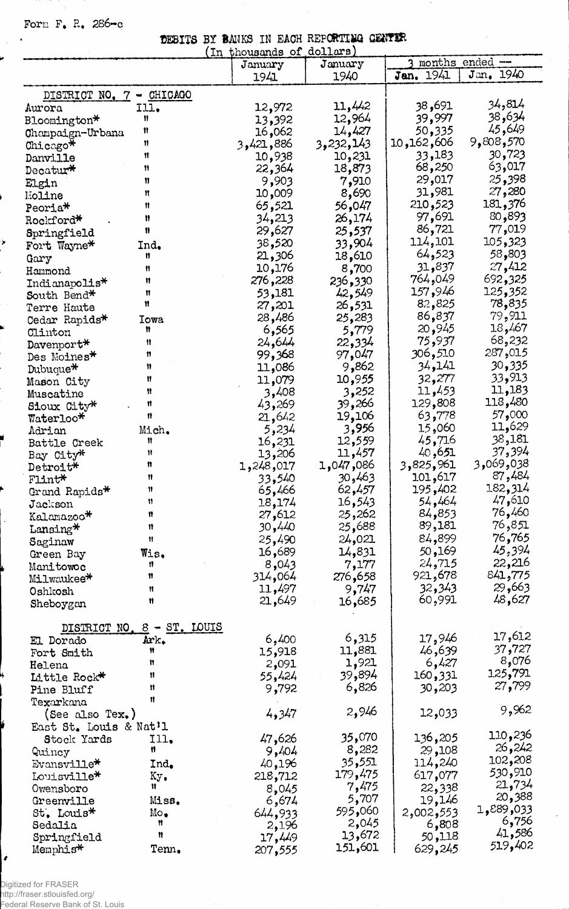Form F. R. 286-c

 $\mathcal{L}$ 

y

 $\cdot$ j

Y

ł

|  |  | DEBITS BY BANKS IN EACH REPORTING GENTER |  |
|--|--|------------------------------------------|--|
|  |  | $(m + \omega)$                           |  |

|                          | (In-             | thousands of dollars |           |            |                 |
|--------------------------|------------------|----------------------|-----------|------------|-----------------|
|                          |                  | January              | January   |            | months ended -- |
|                          |                  | 1941                 | 1940      | Jan. 1941  | Jan. 1940       |
| DISTRICT NO. 7 - CHICAGO |                  |                      |           |            |                 |
| Aurora                   | I11.             | 12,972               | 11,442    | 38,691     | 34,814          |
| Bloomington*             | 11               | 13,392               | 12,964    | 39,997     | 38,634          |
| Champaign-Urbana         | Ħ                | 16,062               | 14,427    | 50,335     | 45,649          |
| Chicago*                 | Ħ                | 3,421,886            | 3,232,143 | 10,162,606 | 9,808,570       |
| Danville                 | Ħ                | 10,938               | 10,231    | 33,183     | 30,723          |
| Decatur*                 | n                | 22,364               | 18,873    | 68,250     | 63,017          |
|                          | 11               | 9,903                | 7,910     | 29,017     | 25,398          |
| Elgin                    | n                | 10,009               | 8,690     | 31,981     | 27,280          |
| Moline                   | Ħ                | 65,521               | 56,047    | 210,523    | 181,376         |
| Peoria*                  | ₩                | 34,213               | 26,174    | 97,691     | 80,893          |
| Rockford*                | 8                | 29,627               |           | 86,721     | 77,019          |
| Springfield              |                  |                      | 25,537    | 114,101    | 105,323         |
| Fort Wayne*              | Ind.             | 38,520               | 33,904    | 64,523     | 58,803          |
| Gary                     | Ħ                | 21,306               | 18,610    |            |                 |
| Hammond                  | n                | 10,176               | 8,700     | 31,837     | 27,412          |
| Indianapolis*            | Ħ                | 276,228              | 236,330   | 764,049    | 692,325         |
| South Bend*              | Ħ                | 53,181               | 42,549    | 157,946    | 125,352         |
| Terre Haute              | Ħ                | 27,201               | 26,531    | 82,825     | 78,835          |
| Cedar Rapids*            | Iowa             | 28,486               | 25,283    | 86,837     | 79,911          |
| Clinton                  | Ħ                | 6,565                | 5,779     | 20,945     | 18,467          |
| Davenport*               | Ħ                | 24,644               | 22,334    | 75,937     | 68,232          |
| Des Moines*              | Ħ                | 99,368               | 97,047    | 306,510    | 287,015         |
| Dubuque*                 | Ħ                | 11,086               | 9,862     | 34,141     | 30,335          |
| Mason City               | Ħ                | 11,079               | 10,955    | 32,277     | 33,913          |
| Muscatine                | Ħ                | 3,408                | 3,252     | 11,453     | 11,183          |
| Sioux City*              | Ħ                | 43,269               | 39,266    | 129,808    | 118,480         |
| Waterloo*                | 11               | 21,642               | 19,106    | 63,778     | 57,000          |
| Adrian                   | Mich.            | 5,234                | 3,956     | 15,060     | 11,629          |
| Battle Creek             | Ħ                | 16,231               | 12,559    | 45,716     | 38,181          |
| Bay City*                | Ħ                | 13,206               | 11,457    | 40,651     | 37,394          |
| Detroit*                 | n                | 1,248,017            | 1,047,086 | 3,825,961  | 3,069,038       |
| Flint*                   | 11               | 33,540               | 30,463    | 101,617    | 87,484          |
| Grand Rapids*            | 11               | 65,466               | 62,457    | 195,402    | 182,314         |
| Jackson                  | Ħ                | 18,174               | 16,543    | 54,464     | 47,610          |
| Kalamazoo*               | n                | 27,612               | 25,262    | 84,853     | 76,460          |
|                          | 11               | 30,440               | 25,688    | 89,181     | 851, 76         |
| Lansing*                 | Ħ                | 25,490               | 24,021    | 84,899     | 76,765          |
| Saginaw                  |                  | 16,689               | 14,831    | 50,169     | 45,394          |
| Green Bay                | Wis.<br>Ħ        |                      |           | 24,715     | 22,216          |
| Manitowoc                | Ħ                | 8,043                | 7,177     | 921,678    | 841,775         |
| Milwaukee*               |                  | 064, 314             | ,658 276  |            | 29,663          |
| Oshkosh                  | Ħ                | 11,497               | 9,747     | 32,343     | 48,627          |
| Sheboygan                | Ħ                | 21,649               | 16,685    | 60,991     |                 |
|                          |                  |                      |           |            |                 |
| DISTRICT NO.             | $8 - ST$ , LOUIS |                      |           |            |                 |
| El Dorado                | Ark.             | 6,400                | 6,315     | 17,946     | 17,612          |
| Fort Smith               | Ħ                | 15,918               | 11,881    | 46,639     | 37,727          |
| Helena                   | Ħ                | 2,091                | 1,921     | 6,427      | $8,076$         |
| Little Rock*             | Ħ                | 55,424               | 39,894    | 160,331    | 125,791         |
| Pine Bluff               | Ħ                | 9,792                | 6,826     | 30,203     | 27,799          |
| Texarkana                | 11               |                      |           |            |                 |
| (See also Tex.)          |                  | 4,347                | 2,946     | 12,033     | 9,962           |
| East St. Louis & Nat'l   |                  |                      |           |            |                 |
| Stock Yards              | Ill.             | 47,626               | 35,070    | 136,205    | 110,236         |
| Quincy                   | Ħ                | 9,404                | 8,282     | 29,108     | 26,242          |
| Evansville*              | Ind.             | 40,196               | 35,551    | 114,240    | 102,208         |
| Louisville*              | Кy.              | 218,712              | 179,475   | 617,077    | 530,910         |
| Owensboro                | Ħ                | 8,045                | 7,475     | 22,338     | 21,734          |
| Greenville               | Miss.            | 6,674                | 5,707     | 19,146     | 20,388          |
|                          | Mo.              |                      | 595,060   | 2,002,553  | 033, 889<br>-   |
| St. Louis*<br>Sedalia    | Ħ                | 644,933              | 2,045     | 6,808      | 6,756           |
| Springfield              | Ħ                | 2,196                | 13,672    | 50,118     | 41,586          |
|                          | Tenn.            | 17,449               | 151,601   | 629,245    | 519,402         |
| Memphis*                 |                  | 207,555              |           |            |                 |

 $\cdot$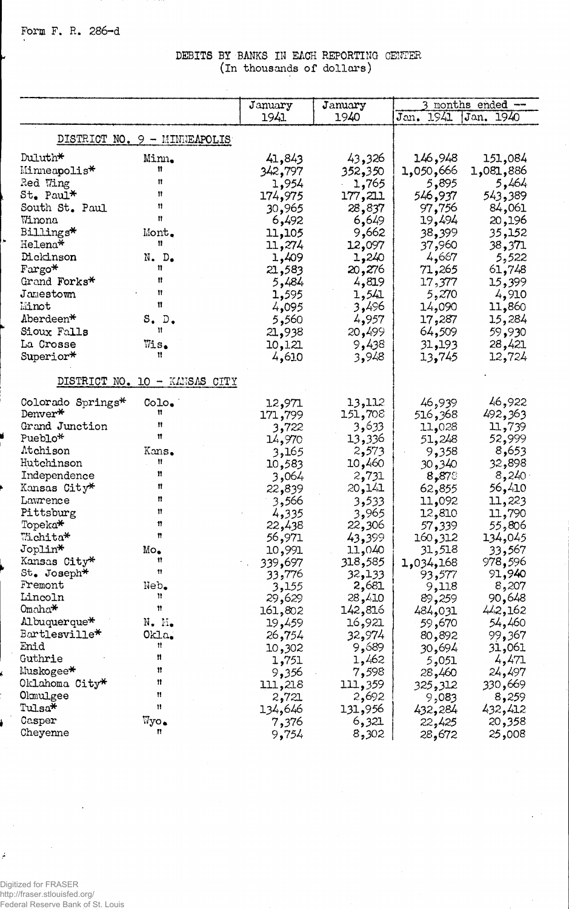## **DEBITS BY BANKS IN EACH REPORTING CENTER (in thousands of dollars)**

 $\bar{\mathcal{A}}$ 

|                      |                               | January          | January          |                     | 3 months ended -  |
|----------------------|-------------------------------|------------------|------------------|---------------------|-------------------|
|                      |                               | 1941             | 1940             | Jan. 1941           | Jan. 1940         |
|                      | DISTRICT NO. 9 - MINNEAPOLIS  |                  |                  |                     |                   |
| Duluth*              | Minn.                         | 41,843           | 43,326           | 146,948             | 151,084           |
| Minneapolis*         | Ħ                             | 342,797          | 352,350          | 1,050,666           | 1,081,886         |
| Red Wing             | n                             | 1,954            | 1,765            | 5,895               | 5,464             |
| $St_{\bullet}$ Paul* | n                             | 174,975          | 177,211          | 546,937             | 543,389           |
| South St. Paul       | n                             | 30,965           | 28,837           | 97,756              | 84,061            |
| Winona               | n                             | 6,492            | 6,649            | 19,494              | 20,196            |
| Billings*            | Mont.                         | 11,105           | 9,662            | 38,399              | 35,152            |
| Helena*              | n                             | 11,274           | 12,097           | 37,960              | 38,371            |
| Dickinson            | N. D <sub>o</sub>             | 1,409            | 1,240            | 4,667               | 5,522             |
| Fargo*               | 11                            | 21,583           | 20,276           | 71,265              | 61,748            |
| Grand Forks*         | n                             | 5,484            | 4,819            | 17,377              | 15,399            |
| Jamestown            | Ħ                             | 1,595            | 1,541            | 5,270               | 4,910             |
| Minot                | Ħ                             | 4,095            | 3,496            | 14,090              | 11,860            |
| Aberdeen*            | S.D.                          | 5,560            | 4,957            | 17,287              | 15,284            |
| Sioux Falls          | Ħ                             | 21,938           | 20,499           | 64,509              | 59,930            |
| La Crosse            | Wis.                          | 10,121           | 9,438            | 31,193              | 28,421            |
| Superior*            | Ħ                             | 4,610            | 3,948            | 13,745              | 12,724            |
|                      | DISTRICT NO. 10 - KANSAS CITY |                  |                  |                     |                   |
| Colorado Springs*    | $CoLo_{\bullet}$              | 12,971           | 13,112           | 46,939              | 46,922            |
| Denver*              | Ħ                             | 171,799          | 151,708          | 516,368             | 492,363           |
| Grand Junction       | Ħ                             | 3,722            | 3,633            | 11,028              | 11,739            |
| Pueblo*              | Ħ                             | 14,970           | 13,336           | 51,248              | 52,999            |
| Atchison             | Kans.                         | 3,165            | 2,573            | 9,358               | 8,653             |
| Hutchinson           | n                             | 10,583           | 10,460           | 30,340              | 32,898            |
| Independence         | n                             | 3,064            | 2,731            | 8,878               | 8,240.            |
| Kansas City*         | Ħ                             | 22,839           | 20,141           | 62,855              | 56,410            |
| Lawrence             | Ħ                             | 3,566            | 3,533            | 11,092              | 11,223            |
| Pittsburg            | 11<br>11                      | 4,335            | 3,965            | 12,810              | 11,790            |
| Topeka*<br>Wichita*  | n                             | 22,438           | 22,306           | 57,339              | 55,806            |
| Joplin*              | $Mo_{\bullet}$                | 56,971<br>10,991 | 43,399<br>11,040 | 160,312<br>31,518   | 134,045           |
| Kansas City*         | Ħ                             | 339,697          | 318,585          |                     | 33,567<br>978,596 |
| St. Joseph*          | 11                            | 33,776           | 32,133           | 1,034,168<br>93,577 | 91,940            |
| Fremont              | Neb.                          | 3,155            | 2,681            | 9,118               | 8,207             |
| Lincoln              | Ħ                             | 29,629           | 28,410           | 89,259              | 90,648            |
| Omaha <del>*</del>   | 11                            | 161,802          | 142,816          | 484,031             | 442,162           |
| Albuquerque*         | $N_{\bullet}$ $M_{\bullet}$   | 19,459           | 16,921           | 59,670              | 54,460            |
| Bartlesville*        | Okla.                         | 26,754           | 32,974           | 80,892              | 99,367            |
| Enid                 | Ħ                             | 10,302           | 9,689            | 30,694              | 31,061            |
| Guthrie              | n                             | 1,751            | 1,462            | 5,051               | 4,471             |
| Muskogee*            | 11                            | 9,356            | 7,598            | 28,460              | 24,497            |
| Oklahoma City*       | 11                            | 111,218          | 111,359          | 325,312             | 330,669           |
| Olmulgee             | Ħ                             | 2,721            | 2,692            | 9,083               | 8,259             |
| Tulsa*               | Ħ                             | 134,646          | 131,956          | 432,284             | 432,412           |
| Casper               | Wyo.                          | 7,376            | 6,321            | 22,425              | 20,358            |
| Cheyenne             | n                             | 9,754            | 8,302            | 28,672              | 25,008            |

Digitized for FRASER http://fraser.stlouisfed.org/ Federal Reserve Bank of St. Louis

 $\boldsymbol{r}$